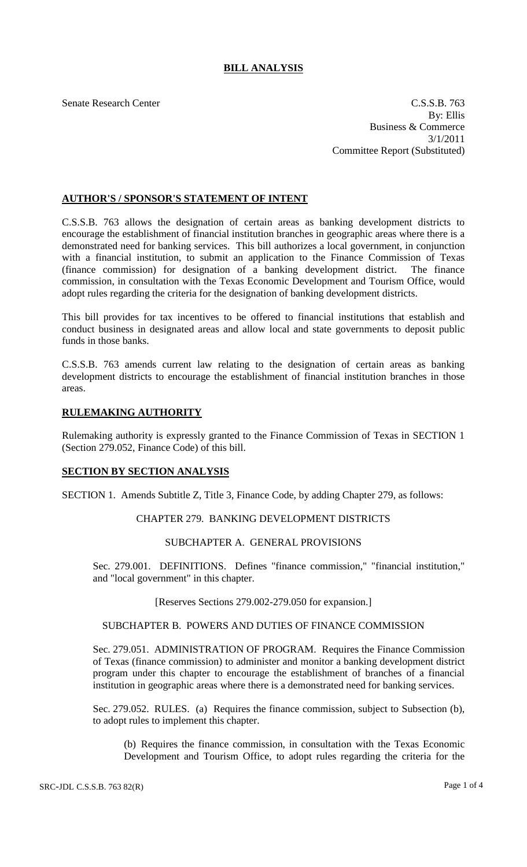# **BILL ANALYSIS**

Senate Research Center C.S.S.B. 763 By: Ellis Business & Commerce 3/1/2011 Committee Report (Substituted)

# **AUTHOR'S / SPONSOR'S STATEMENT OF INTENT**

C.S.S.B. 763 allows the designation of certain areas as banking development districts to encourage the establishment of financial institution branches in geographic areas where there is a demonstrated need for banking services. This bill authorizes a local government, in conjunction with a financial institution, to submit an application to the Finance Commission of Texas (finance commission) for designation of a banking development district. The finance commission, in consultation with the Texas Economic Development and Tourism Office, would adopt rules regarding the criteria for the designation of banking development districts.

This bill provides for tax incentives to be offered to financial institutions that establish and conduct business in designated areas and allow local and state governments to deposit public funds in those banks.

C.S.S.B. 763 amends current law relating to the designation of certain areas as banking development districts to encourage the establishment of financial institution branches in those areas.

# **RULEMAKING AUTHORITY**

Rulemaking authority is expressly granted to the Finance Commission of Texas in SECTION 1 (Section 279.052, Finance Code) of this bill.

# **SECTION BY SECTION ANALYSIS**

SECTION 1. Amends Subtitle Z, Title 3, Finance Code, by adding Chapter 279, as follows:

# CHAPTER 279. BANKING DEVELOPMENT DISTRICTS

# SUBCHAPTER A. GENERAL PROVISIONS

Sec. 279.001. DEFINITIONS. Defines "finance commission," "financial institution," and "local government" in this chapter.

### [Reserves Sections 279.002-279.050 for expansion.]

#### SUBCHAPTER B. POWERS AND DUTIES OF FINANCE COMMISSION

Sec. 279.051. ADMINISTRATION OF PROGRAM. Requires the Finance Commission of Texas (finance commission) to administer and monitor a banking development district program under this chapter to encourage the establishment of branches of a financial institution in geographic areas where there is a demonstrated need for banking services.

Sec. 279.052. RULES. (a) Requires the finance commission, subject to Subsection (b), to adopt rules to implement this chapter.

(b) Requires the finance commission, in consultation with the Texas Economic Development and Tourism Office, to adopt rules regarding the criteria for the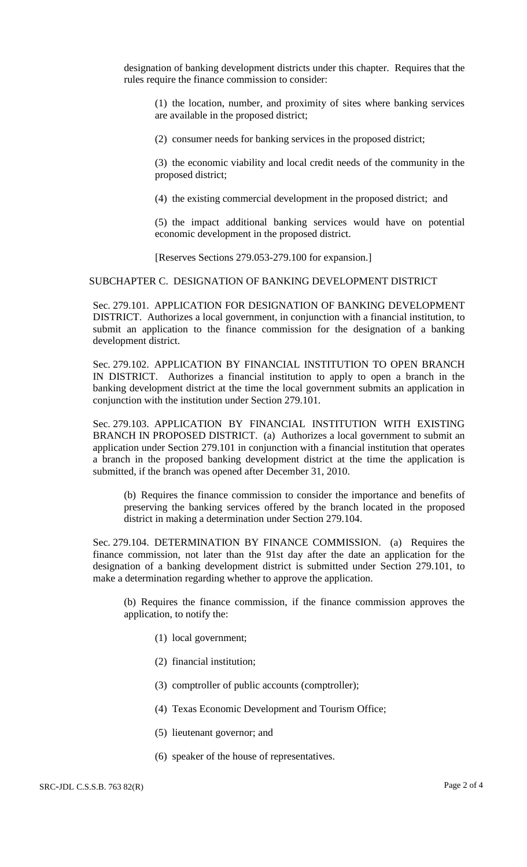designation of banking development districts under this chapter. Requires that the rules require the finance commission to consider:

(1) the location, number, and proximity of sites where banking services are available in the proposed district;

(2) consumer needs for banking services in the proposed district;

(3) the economic viability and local credit needs of the community in the proposed district;

(4) the existing commercial development in the proposed district; and

(5) the impact additional banking services would have on potential economic development in the proposed district.

[Reserves Sections 279.053-279.100 for expansion.]

### SUBCHAPTER C. DESIGNATION OF BANKING DEVELOPMENT DISTRICT

Sec. 279.101. APPLICATION FOR DESIGNATION OF BANKING DEVELOPMENT DISTRICT. Authorizes a local government, in conjunction with a financial institution, to submit an application to the finance commission for the designation of a banking development district.

Sec. 279.102. APPLICATION BY FINANCIAL INSTITUTION TO OPEN BRANCH IN DISTRICT. Authorizes a financial institution to apply to open a branch in the banking development district at the time the local government submits an application in conjunction with the institution under Section 279.101.

Sec. 279.103. APPLICATION BY FINANCIAL INSTITUTION WITH EXISTING BRANCH IN PROPOSED DISTRICT. (a) Authorizes a local government to submit an application under Section 279.101 in conjunction with a financial institution that operates a branch in the proposed banking development district at the time the application is submitted, if the branch was opened after December 31, 2010.

(b) Requires the finance commission to consider the importance and benefits of preserving the banking services offered by the branch located in the proposed district in making a determination under Section 279.104.

Sec. 279.104. DETERMINATION BY FINANCE COMMISSION. (a) Requires the finance commission, not later than the 91st day after the date an application for the designation of a banking development district is submitted under Section 279.101, to make a determination regarding whether to approve the application.

(b) Requires the finance commission, if the finance commission approves the application, to notify the:

- (1) local government;
- (2) financial institution;
- (3) comptroller of public accounts (comptroller);
- (4) Texas Economic Development and Tourism Office;
- (5) lieutenant governor; and
- (6) speaker of the house of representatives.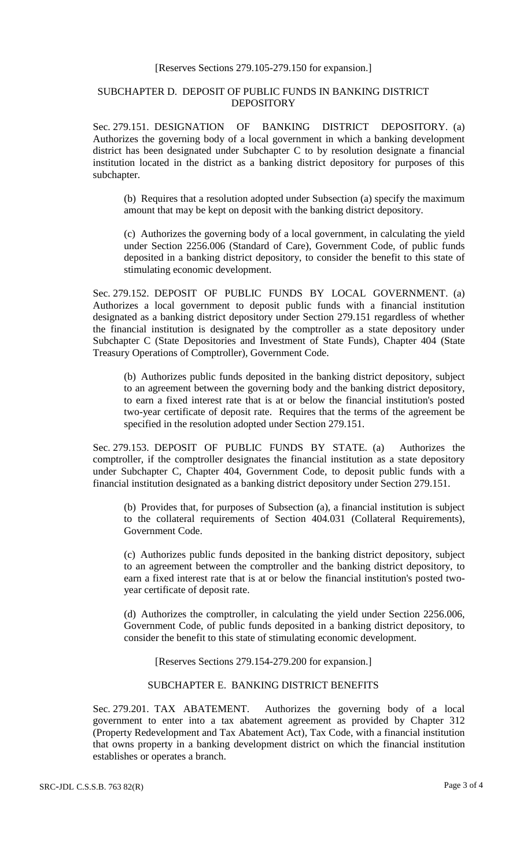#### [Reserves Sections 279.105-279.150 for expansion.]

# SUBCHAPTER D. DEPOSIT OF PUBLIC FUNDS IN BANKING DISTRICT DEPOSITORY

Sec. 279.151. DESIGNATION OF BANKING DISTRICT DEPOSITORY. (a) Authorizes the governing body of a local government in which a banking development district has been designated under Subchapter C to by resolution designate a financial institution located in the district as a banking district depository for purposes of this subchapter.

(b) Requires that a resolution adopted under Subsection (a) specify the maximum amount that may be kept on deposit with the banking district depository.

(c) Authorizes the governing body of a local government, in calculating the yield under Section 2256.006 (Standard of Care), Government Code, of public funds deposited in a banking district depository, to consider the benefit to this state of stimulating economic development.

Sec. 279.152. DEPOSIT OF PUBLIC FUNDS BY LOCAL GOVERNMENT. (a) Authorizes a local government to deposit public funds with a financial institution designated as a banking district depository under Section 279.151 regardless of whether the financial institution is designated by the comptroller as a state depository under Subchapter C (State Depositories and Investment of State Funds), Chapter 404 (State Treasury Operations of Comptroller), Government Code.

(b) Authorizes public funds deposited in the banking district depository, subject to an agreement between the governing body and the banking district depository, to earn a fixed interest rate that is at or below the financial institution's posted two-year certificate of deposit rate. Requires that the terms of the agreement be specified in the resolution adopted under Section 279.151.

Sec. 279.153. DEPOSIT OF PUBLIC FUNDS BY STATE. (a) Authorizes the comptroller, if the comptroller designates the financial institution as a state depository under Subchapter C, Chapter 404, Government Code, to deposit public funds with a financial institution designated as a banking district depository under Section 279.151.

(b) Provides that, for purposes of Subsection (a), a financial institution is subject to the collateral requirements of Section 404.031 (Collateral Requirements), Government Code.

(c) Authorizes public funds deposited in the banking district depository, subject to an agreement between the comptroller and the banking district depository, to earn a fixed interest rate that is at or below the financial institution's posted twoyear certificate of deposit rate.

(d) Authorizes the comptroller, in calculating the yield under Section 2256.006, Government Code, of public funds deposited in a banking district depository, to consider the benefit to this state of stimulating economic development.

[Reserves Sections 279.154-279.200 for expansion.]

# SUBCHAPTER E. BANKING DISTRICT BENEFITS

Sec. 279.201. TAX ABATEMENT. Authorizes the governing body of a local government to enter into a tax abatement agreement as provided by Chapter 312 (Property Redevelopment and Tax Abatement Act), Tax Code, with a financial institution that owns property in a banking development district on which the financial institution establishes or operates a branch.